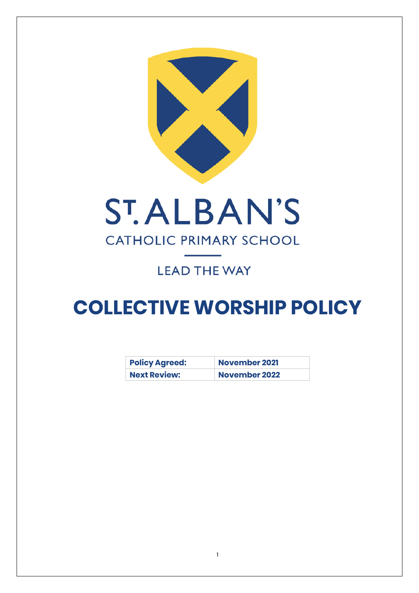



# **LEAD THE WAY**

# **COLLECTIVE WORSHIP POLICY**

| <b>Policy Agreed:</b> | <b>November 2021</b> |  |
|-----------------------|----------------------|--|
| <b>Next Review:</b>   | <b>November 2022</b> |  |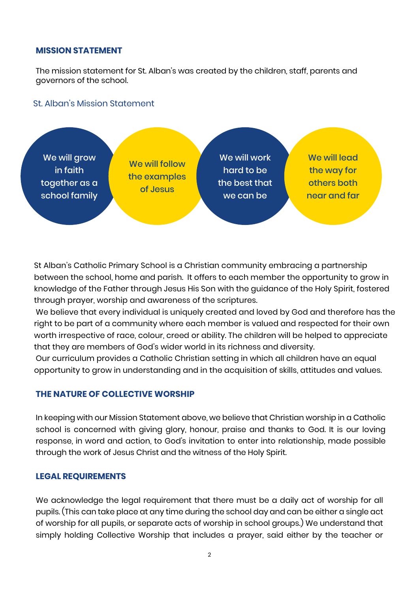#### **MISSION STATEMENT**

The mission statement for St. Alban's was created by the children, staff, parents and governors of the school.

#### St. Alban's Mission Statement



St Alban's Catholic Primary School is a Christian community embracing a partnership between the school, home and parish. It offers to each member the opportunity to grow in knowledge of the Father through Jesus His Son with the guidance of the Holy Spirit, fostered through prayer, worship and awareness of the scriptures.

We believe that every individual is uniquely created and loved by God and therefore has the right to be part of a community where each member is valued and respected for their own worth irrespective of race, colour, creed or ability. The children will be helped to appreciate that they are members of God's wider world in its richness and diversity.

Our curriculum provides a Catholic Christian setting in which all children have an equal opportunity to grow in understanding and in the acquisition of skills, attitudes and values.

#### **THE NATURE OF COLLECTIVE WORSHIP**

In keeping with our Mission Statement above, we believe that Christian worship in a Catholic school is concerned with giving glory, honour, praise and thanks to God. It is our loving response, in word and action, to God's invitation to enter into relationship, made possible through the work of Jesus Christ and the witness of the Holy Spirit.

#### **LEGAL REQUIREMENTS**

We acknowledge the legal requirement that there must be a daily act of worship for all pupils. (This can take place at any time during the school day and can be either a single act of worship for all pupils, or separate acts of worship in school groups.) We understand that simply holding Collective Worship that includes a prayer, said either by the teacher or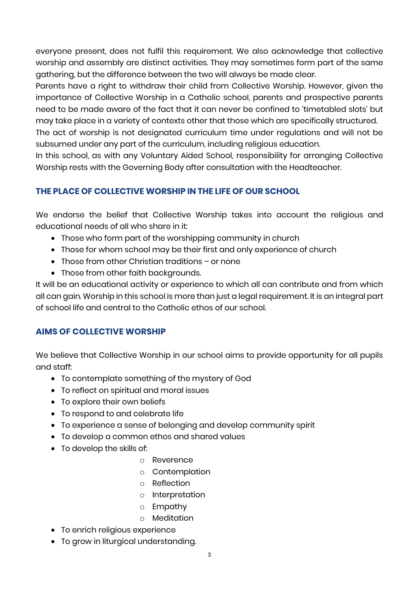everyone present, does not fulfil this requirement. We also acknowledge that collective worship and assembly are distinct activities. They may sometimes form part of the same gathering, but the difference between the two will always be made clear.

Parents have a right to withdraw their child from Collective Worship. However, given the importance of Collective Worship in a Catholic school, parents and prospective parents need to be made aware of the fact that it can never be confined to 'timetabled slots' but may take place in a variety of contexts other that those which are specifically structured.

The act of worship is not designated curriculum time under regulations and will not be subsumed under any part of the curriculum, including religious education.

In this school, as with any Voluntary Aided School, responsibility for arranging Collective Worship rests with the Governing Body after consultation with the Headteacher.

# **THE PLACE OF COLLECTIVE WORSHIP IN THE LIFE OF OUR SCHOOL**

We endorse the belief that Collective Worship takes into account the religious and educational needs of all who share in it:

- Those who form part of the worshipping community in church
- Those for whom school may be their first and only experience of church
- Those from other Christian traditions or none
- Those from other faith backgrounds.

It will be an educational activity or experience to which all can contribute and from which all can gain. Worship in this school is more than just a legal requirement. It is an integral part of school life and central to the Catholic ethos of our school.

# **AIMS OF COLLECTIVE WORSHIP**

We believe that Collective Worship in our school aims to provide opportunity for all pupils and staff:

- To contemplate something of the mystery of God
- To reflect on spiritual and moral issues
- To explore their own beliefs
- To respond to and celebrate life
- To experience a sense of belonging and develop community spirit
- To develop a common ethos and shared values
- To develop the skills of:
	- o Reverence
	- o Contemplation
	- o Reflection
	- o Interpretation
	- o Empathy
	- o Meditation
- To enrich religious experience
- To grow in liturgical understanding.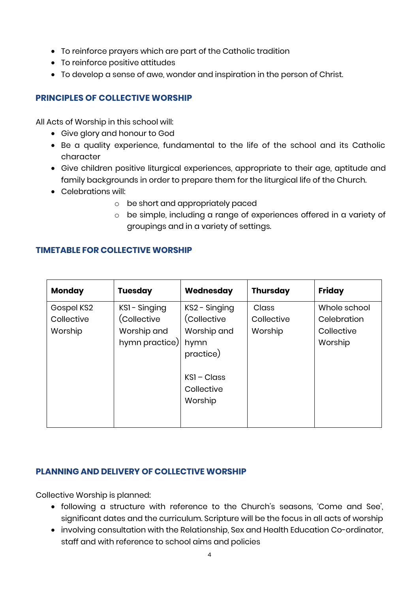- To reinforce prayers which are part of the Catholic tradition
- To reinforce positive attitudes
- To develop a sense of awe, wonder and inspiration in the person of Christ.

# **PRINCIPLES OF COLLECTIVE WORSHIP**

All Acts of Worship in this school will:

- Give glory and honour to God
- Be a quality experience, fundamental to the life of the school and its Catholic character
- Give children positive liturgical experiences, appropriate to their age, aptitude and family backgrounds in order to prepare them for the liturgical life of the Church.
- Celebrations will:
	- o be short and appropriately paced
	- o be simple, including a range of experiences offered in a variety of groupings and in a variety of settings.

# **TIMETABLE FOR COLLECTIVE WORSHIP**

| <b>Monday</b>                       | <b>Tuesday</b>                                              | Wednesday                                                        | <b>Thursday</b>                       | <b>Friday</b>                                        |
|-------------------------------------|-------------------------------------------------------------|------------------------------------------------------------------|---------------------------------------|------------------------------------------------------|
| Gospel KS2<br>Collective<br>Worship | KSI-Singing<br>(Collective<br>Worship and<br>hymn practice) | KS2 - Singing<br>(Collective<br>Worship and<br>hymn<br>practice) | <b>Class</b><br>Collective<br>Worship | Whole school<br>Celebration<br>Collective<br>Worship |
|                                     |                                                             | $KSI - Class$<br>Collective<br>Worship                           |                                       |                                                      |

# **PLANNING AND DELIVERY OF COLLECTIVE WORSHIP**

Collective Worship is planned:

- following a structure with reference to the Church's seasons, 'Come and See', significant dates and the curriculum. Scripture will be the focus in all acts of worship
- involving consultation with the Relationship, Sex and Health Education Co-ordinator, staff and with reference to school aims and policies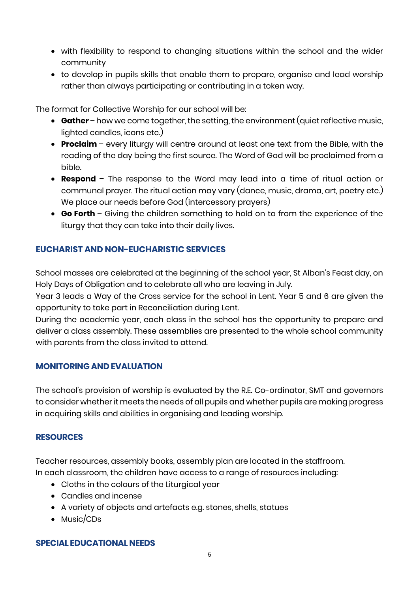- with flexibility to respond to changing situations within the school and the wider community
- to develop in pupils skills that enable them to prepare, organise and lead worship rather than always participating or contributing in a token way.

The format for Collective Worship for our school will be:

- **Gather**  how we come together, the setting, the environment (quiet reflective music, lighted candles, icons etc.)
- **Proclaim**  every liturgy will centre around at least one text from the Bible, with the reading of the day being the first source. The Word of God will be proclaimed from a bible.
- **Respond**  The response to the Word may lead into a time of ritual action or communal prayer. The ritual action may vary (dance, music, drama, art, poetry etc.) We place our needs before God (intercessory prayers)
- **Go Forth**  Giving the children something to hold on to from the experience of the liturgy that they can take into their daily lives.

## **EUCHARIST AND NON-EUCHARISTIC SERVICES**

School masses are celebrated at the beginning of the school year, St Alban's Feast day, on Holy Days of Obligation and to celebrate all who are leaving in July.

Year 3 leads a Way of the Cross service for the school in Lent. Year 5 and 6 are given the opportunity to take part in Reconciliation during Lent.

During the academic year, each class in the school has the opportunity to prepare and deliver a class assembly. These assemblies are presented to the whole school community with parents from the class invited to attend.

### **MONITORING AND EVALUATION**

The school's provision of worship is evaluated by the R.E. Co-ordinator, SMT and governors to consider whether it meets the needs of all pupils and whether pupils are making progress in acquiring skills and abilities in organising and leading worship.

#### **RESOURCES**

Teacher resources, assembly books, assembly plan are located in the staffroom. In each classroom, the children have access to a range of resources including:

- Cloths in the colours of the Liturgical year
- Candles and incense
- A variety of objects and artefacts e.g. stones, shells, statues
- Music/CDs

#### **SPECIAL EDUCATIONAL NEEDS**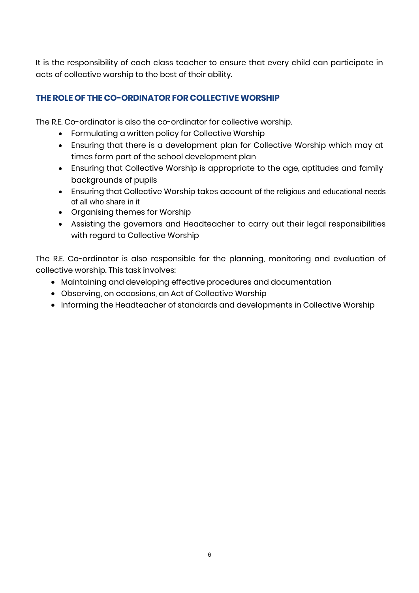It is the responsibility of each class teacher to ensure that every child can participate in acts of collective worship to the best of their ability.

# **THE ROLE OF THE CO-ORDINATOR FOR COLLECTIVE WORSHIP**

The R.E. Co-ordinator is also the co-ordinator for collective worship.

- Formulating a written policy for Collective Worship
- Ensuring that there is a development plan for Collective Worship which may at times form part of the school development plan
- Ensuring that Collective Worship is appropriate to the age, aptitudes and family backgrounds of pupils
- Ensuring that Collective Worship takes account of the religious and educational needs of all who share in it
- Organising themes for Worship
- Assisting the governors and Headteacher to carry out their legal responsibilities with regard to Collective Worship

The R.E. Co-ordinator is also responsible for the planning, monitoring and evaluation of collective worship. This task involves:

- Maintaining and developing effective procedures and documentation
- Observing, on occasions, an Act of Collective Worship
- Informing the Headteacher of standards and developments in Collective Worship